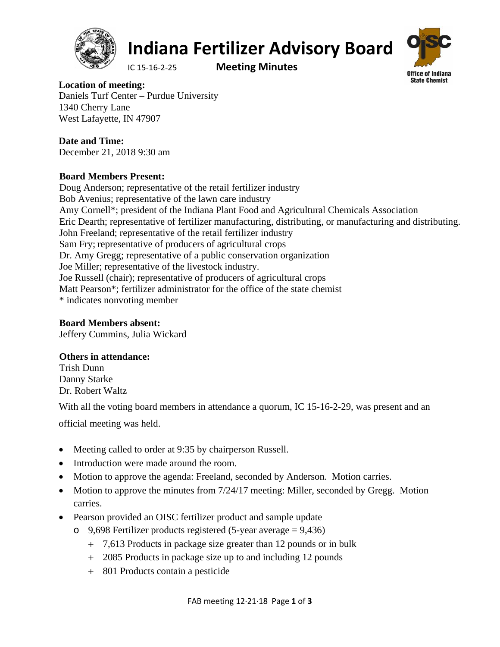

#### **Indiana Fertilizer Advisory Board**

IC 15‐16‐2‐25 **Meeting Minutes**



**Location of meeting:**  Daniels Turf Center – Purdue University 1340 Cherry Lane West Lafayette, IN 47907

**Date and Time:**  December 21, 2018 9:30 am

#### **Board Members Present:**

Doug Anderson; representative of the retail fertilizer industry Bob Avenius; representative of the lawn care industry Amy Cornell\*; president of the Indiana Plant Food and Agricultural Chemicals Association Eric Dearth; representative of fertilizer manufacturing, distributing, or manufacturing and distributing. John Freeland; representative of the retail fertilizer industry Sam Fry; representative of producers of agricultural crops Dr. Amy Gregg; representative of a public conservation organization Joe Miller; representative of the livestock industry. Joe Russell (chair); representative of producers of agricultural crops Matt Pearson\*; fertilizer administrator for the office of the state chemist \* indicates nonvoting member

#### **Board Members absent:**

Jeffery Cummins, Julia Wickard

#### **Others in attendance:**

Trish Dunn Danny Starke Dr. Robert Waltz

With all the voting board members in attendance a quorum, IC 15-16-2-29, was present and an

official meeting was held.

- Meeting called to order at 9:35 by chairperson Russell.
- Introduction were made around the room.
- Motion to approve the agenda: Freeland, seconded by Anderson. Motion carries.
- Motion to approve the minutes from  $7/24/17$  meeting: Miller, seconded by Gregg. Motion carries.
- Pearson provided an OISC fertilizer product and sample update
	- o 9,698 Fertilizer products registered (5-year average = 9,436)
		- 7,613 Products in package size greater than 12 pounds or in bulk
		- 2085 Products in package size up to and including 12 pounds
		- 801 Products contain a pesticide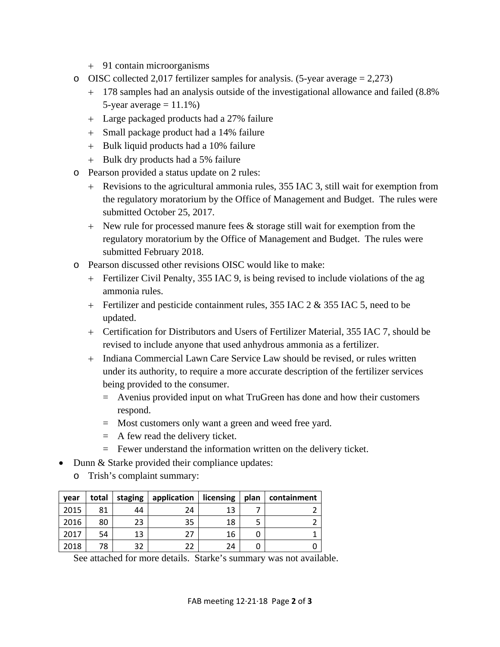- 91 contain microorganisms
- o OISC collected 2,017 fertilizer samples for analysis. (5-year average  $= 2,273$ )
	- 178 samples had an analysis outside of the investigational allowance and failed (8.8% 5-year average  $= 11.1\%$ )
	- Large packaged products had a 27% failure
	- Small package product had a 14% failure
	- + Bulk liquid products had a 10% failure
	- + Bulk dry products had a 5% failure
- o Pearson provided a status update on 2 rules:
	- Revisions to the agricultural ammonia rules, 355 IAC 3, still wait for exemption from the regulatory moratorium by the Office of Management and Budget. The rules were submitted October 25, 2017.
	- $+$  New rule for processed manure fees  $\&$  storage still wait for exemption from the regulatory moratorium by the Office of Management and Budget. The rules were submitted February 2018.
- o Pearson discussed other revisions OISC would like to make:
	- Fertilizer Civil Penalty, 355 IAC 9, is being revised to include violations of the ag ammonia rules.
	- Fertilizer and pesticide containment rules, 355 IAC 2 & 355 IAC 5, need to be updated.
	- Certification for Distributors and Users of Fertilizer Material, 355 IAC 7, should be revised to include anyone that used anhydrous ammonia as a fertilizer.
	- Indiana Commercial Lawn Care Service Law should be revised, or rules written under its authority, to require a more accurate description of the fertilizer services being provided to the consumer.
		- = Avenius provided input on what TruGreen has done and how their customers respond.
		- = Most customers only want a green and weed free yard.
		- = A few read the delivery ticket.
		- = Fewer understand the information written on the delivery ticket.
- Dunn & Starke provided their compliance updates:
	- o Trish's complaint summary:

| year | total | staging | application | licensing | plan | containment |
|------|-------|---------|-------------|-----------|------|-------------|
| 2015 | 81    | 44      | 24          | 13        |      |             |
| 2016 | 80    | 23      | 35          | 18        |      |             |
| 2017 | 54    | 13      | 27          | 16        |      |             |
| 2018 | 78    | 32      | 22          | 24        |      |             |

See attached for more details. Starke's summary was not available.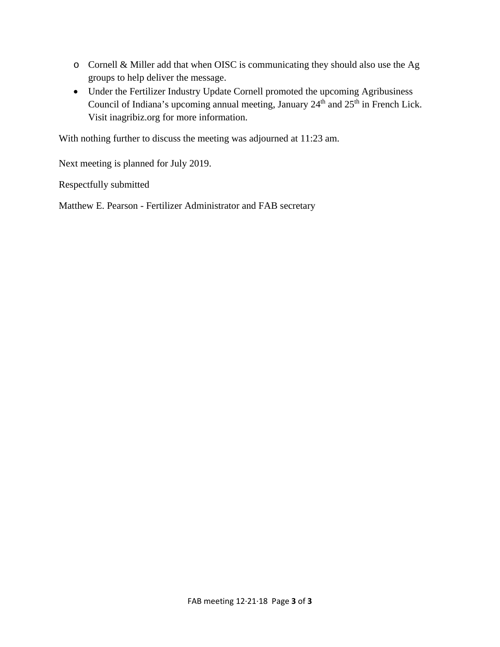- o Cornell & Miller add that when OISC is communicating they should also use the Ag groups to help deliver the message.
- Under the Fertilizer Industry Update Cornell promoted the upcoming Agribusiness Council of Indiana's upcoming annual meeting, January  $24<sup>th</sup>$  and  $25<sup>th</sup>$  in French Lick. Visit inagribiz.org for more information.

With nothing further to discuss the meeting was adjourned at 11:23 am.

Next meeting is planned for July 2019.

Respectfully submitted

Matthew E. Pearson - Fertilizer Administrator and FAB secretary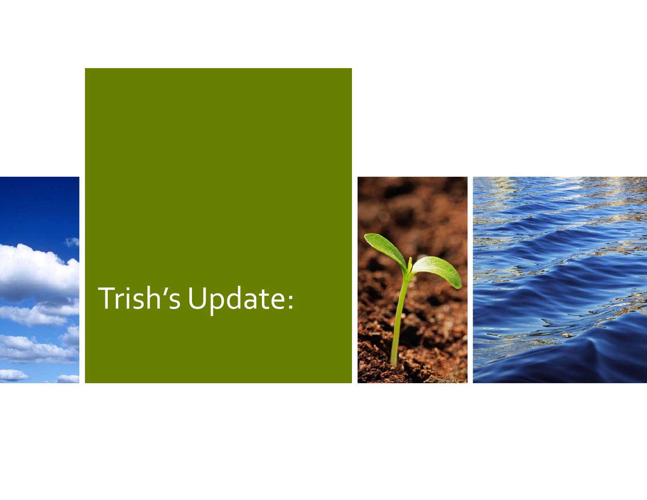## Trish's Update:

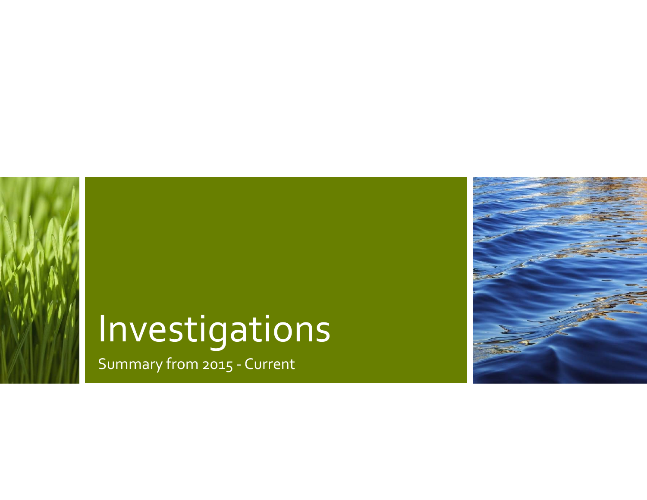# Investigations

Summary from 2015 ‐ Current

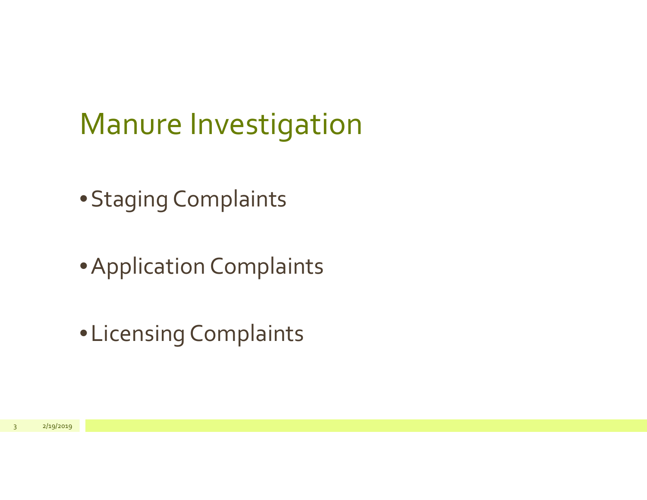## Manure Investigation

•Staging Complaints

•Application Complaints

•Licensing Complaints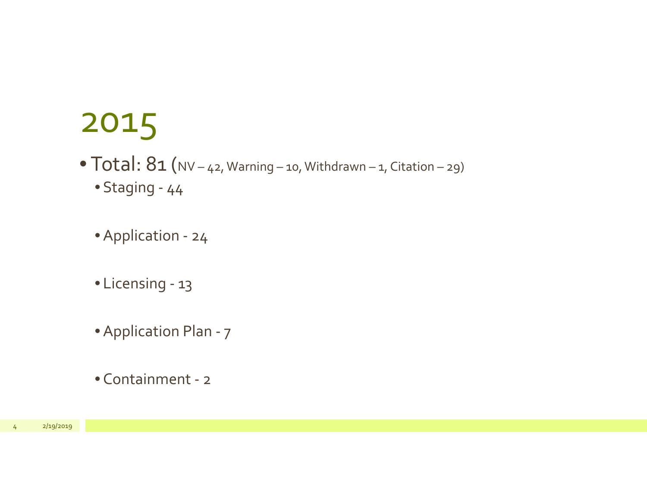- $\bullet$   $\textsf{Total: } 8$ 1 (NV 42, Warning 10, Withdrawn 1, Citation 29) • Staging ‐ 44
	- Application ‐ 24
	- Licensing ‐ 13
	- Application Plan ‐ <sup>7</sup>
	- Containment ‐ <sup>2</sup>

2/19/2019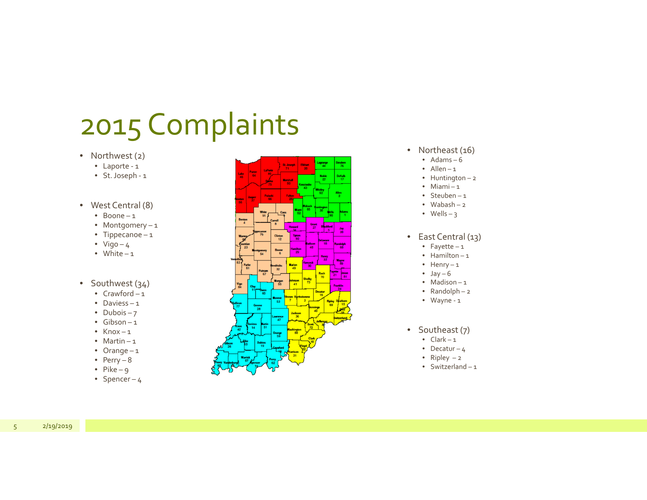- Northwest (2)
	- Laporte ‐ <sup>1</sup>
	- St.Joseph ‐ <sup>1</sup>
- West Central (8)
	- Boone 1
	- Montgomery <sup>1</sup>
	- Tippecanoe <sup>1</sup>
	- Vigo 4
	- White 1

#### • Southwest (34)

- Crawford 1
- Daviess 1
- Dubois 7
- Gibson 1
- Knox 1
- Martin 1
- Orange <sup>1</sup>
- Perry 8
- Pike 9
- Spencer 4



- Northeast (16)
	- Adams 6
	- Allen 1
	- Huntington <sup>2</sup>
	- Miami <sup>1</sup>
	- Steuben 1
	- Wabash 2
	- Wells 3
- East Central (13)
	- Fayette <sup>1</sup>
	- Hamilton 1
	- Henry <sup>1</sup>
	- Jay 6
	- Madison 1
	- Randolph <sup>2</sup>
	- Wayne ‐ <sup>1</sup>
- Southeast (7)
	- Clark 1
	- Decatur 4
	- Ripley <sup>2</sup>
	- Switzerland 1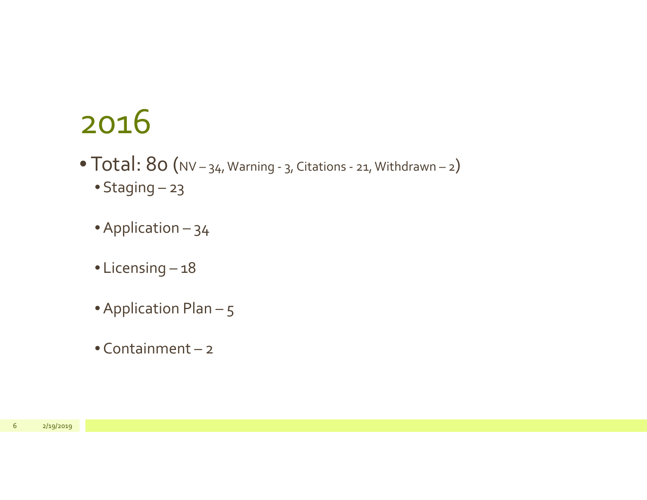- Total:  $80$  (NV 34, Warning 3, Citations 21, Withdrawn 2) • Staging – 23
	- Application 34
	- Licensing 18
	- $\bullet$  Application Plan 5
	- Containment <sup>2</sup>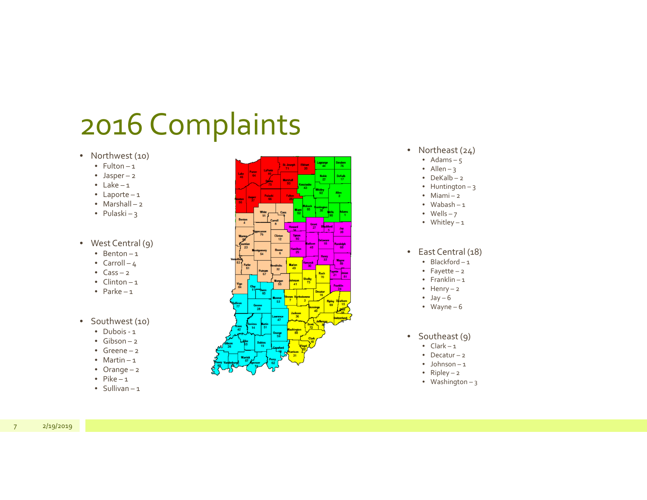- Northwest (10)
	- Fulton 1
	- Jasper <sup>2</sup>
	- Lake 1
	- Laporte <sup>1</sup>
	- Marshall <sup>2</sup>
	- Pulaski 3
- West Central (9)
	- Benton 1
	- Carroll 4
	- Cass 2
	- Clinton 1
	- Parke 1
- Southwest (10)
	- Dubois ‐ <sup>1</sup>
	- Gibson 2
	- Greene 2
	- Martin 1
	- Orange <sup>2</sup>
	- Pike 1
	- Sullivan 1



- Northeast (24)
	- Adams 5
	- Allen 3
	- DeKalb 2
	- Huntington 3
	- Miami <sup>2</sup>
	- Wabash 1
	- Wells 7
	- Whitley <sup>1</sup>
- East Central (18)
	- Blackford 1
	- Fayette <sup>2</sup>
	- Franklin 1
	- Henry <sup>2</sup>
	- Jay 6
	- Wayne 6
- Southeast (9)
	- Clark 1
	- Decatur <sup>2</sup>
	- Johnson 1
	- Ripley <sup>2</sup>
	- Washington <sup>3</sup>

7 2/19/2019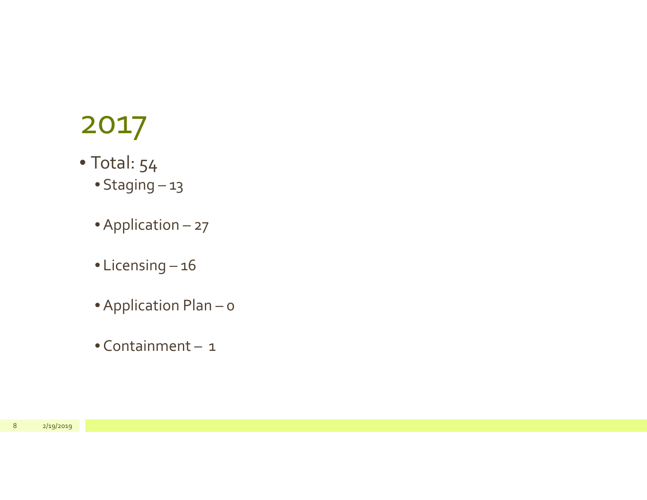- Total: 54
	- Staging 13
	- Application 27
	- Licensing 16
	- Application Plan <sup>0</sup>
	- Containment <sup>1</sup>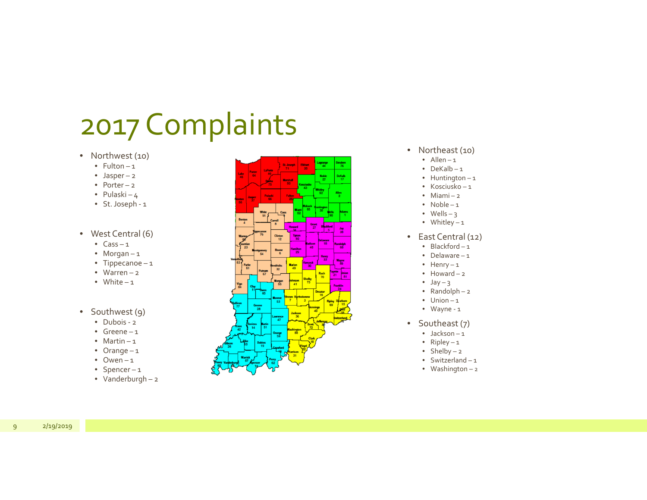- Northwest (10)
	- Fulton 1
	- Jasper <sup>2</sup>
	- Porter <sup>2</sup>
	- Pulaski 4
	- St.Joseph ‐ <sup>1</sup>
- West Central (6)
	- Cass 1
	- Morgan <sup>1</sup>
	- Tippecanoe <sup>1</sup>
	- Warren 2
	- White 1
- Southwest (9)
	- Dubois ‐ <sup>2</sup>
	- Greene 1
	- Martin 1
	- Orange <sup>1</sup>
	- Owen 1
	- Spencer <sup>1</sup>
	- Vanderburgh <sup>2</sup>



- Northeast (10)
	- Allen 1
	- DeKalb 1
	- Huntington <sup>1</sup>
	- Kosciusko 1
	- Miami <sup>2</sup>
	- Noble 1
	- Wells 3
	- Whitley <sup>1</sup>
- East Central (12)
	- Blackford 1
	- Delaware 1
	- Henry <sup>1</sup>
	- Howard 2
	- Jay 3
	- Randolph <sup>2</sup>
	- Union 1
	- Wayne ‐ <sup>1</sup>
- Southeast (7)
	- Jackson 1
	- Ripley <sup>1</sup>
	- Shelby <sup>2</sup>
	- Switzerland 1
	- Washington <sup>2</sup>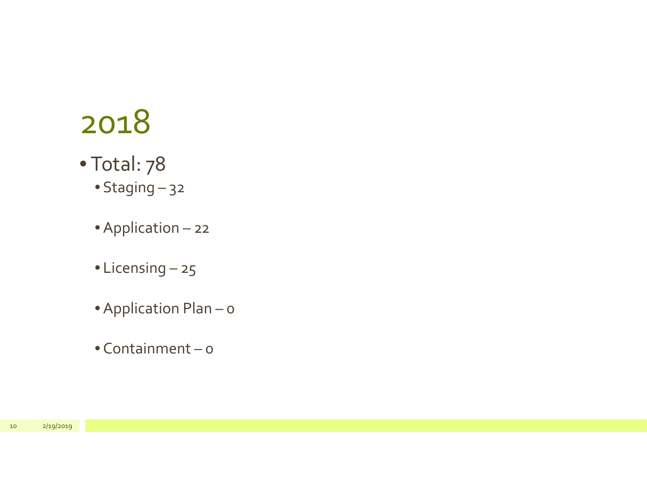- Total: 78
	- Staging 32
	- Application <sup>22</sup>
	- Licensing 25
	- Application Plan <sup>0</sup>
	- Containment 0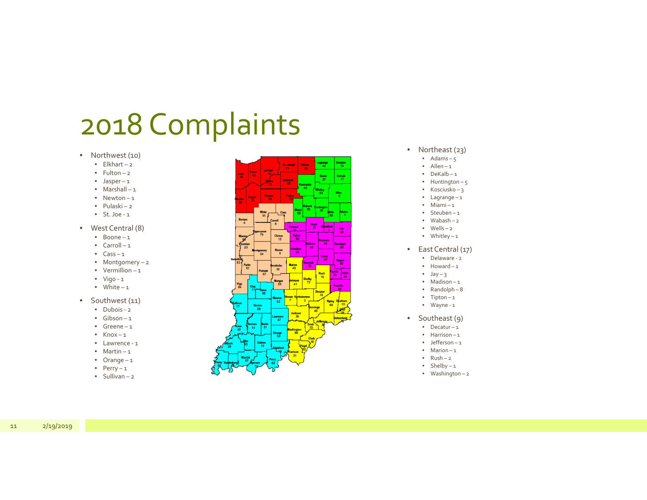- Northwest (10)
	- Elkhart <sup>2</sup>
	- Fulton 2
	- Jasper <sup>1</sup>
	- Marshall <sup>1</sup>
	- Newton 1
	- Pulaski <sup>2</sup>
	- St. Joe ‐ <sup>1</sup>
- West Central (8)
	- Boone 1
	- Carroll <sup>1</sup>
	- Cass 1
	- Montgomery <sup>2</sup>
	- Vermillion 1
	- Vigo ‐ <sup>1</sup>
	- White 1
- Southwest (11)
	- Dubois ‐ <sup>2</sup>
	- Gibson 1
	- Greene 1
	- Knox 1
	- Lawrence ‐ <sup>1</sup>
	- Martin 1
	- Orange <sup>1</sup>
	- Perry <sup>1</sup>
	- Sullivan 2



- Northeast (23)
	- Adams 5
	- Allen 1
	- DeKalb 1
	- Huntington 5
	- Kosciusko 3
	- Lagrange <sup>1</sup>
	- Miami <sup>1</sup>
	- Steuben 1
	- Wabash 2 • Wells – 2
	- Whitley <sup>1</sup>
- East Central (17)
	- Delaware ‐ <sup>2</sup>
	- Howard 1
	- Jay 3
	- Madison 1
	- Randolph 8
	- Tipton <sup>1</sup>
	- Wayne ‐ <sup>1</sup>
- • Southeast (9)
	- Decatur <sup>1</sup>
	- Harrison 1
	- Jefferson 1
	- Marion 1
	- Rush 2
	- Shelby <sup>1</sup>
	- Washington <sup>2</sup>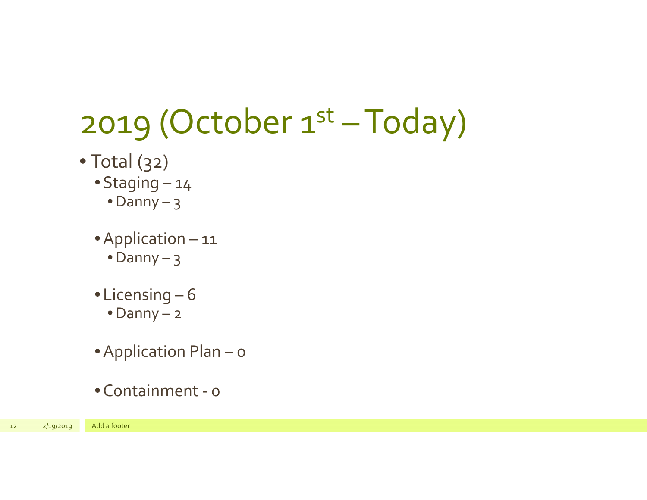## 2019 (October  $1<sup>st</sup> - Today$ )

- Total (32)
	- •Staging 14
		- •Danny 3
	- •Application <sup>11</sup>
		- •Danny 3
	- •Licensing 6
		- •Danny <sup>2</sup>
	- •Application Plan <sup>0</sup>
	- •Containment ‐ 0

<sup>12</sup> 2/19/2019 Add <sup>a</sup> footer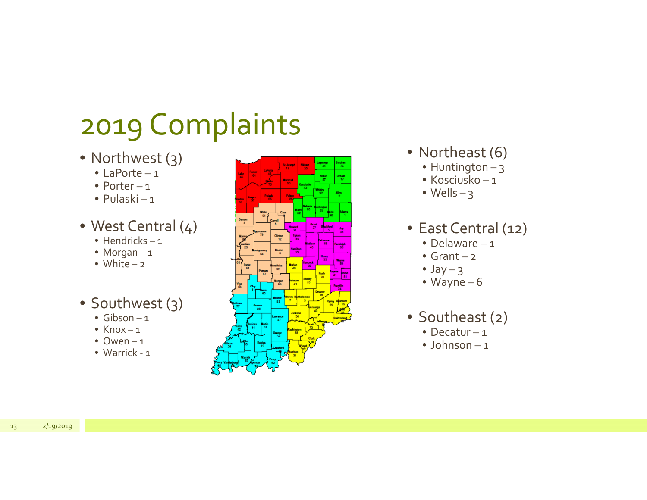- Northwest (3)
	- LaPorte <sup>1</sup>
	- Porter <sup>1</sup>
	- Pulaski <sup>1</sup>
- West Central (4)
	- Hendricks 1
	- Morgan <sup>1</sup>
	- White 2
- Southwest (3)
	- Gibson 1
	- Knox 1
	- Owen 1
	- Warrick ‐ <sup>1</sup>



- Northeast (6)
	- Huntington 3
	- Kosciusko 1
	- Wells 3

#### • East Central (12)

- Delaware 1
- Grant <sup>2</sup>
- Jay 3
- Wayne 6
- Southeast (2)
	- Decatur <sup>1</sup>
	- Johnson 1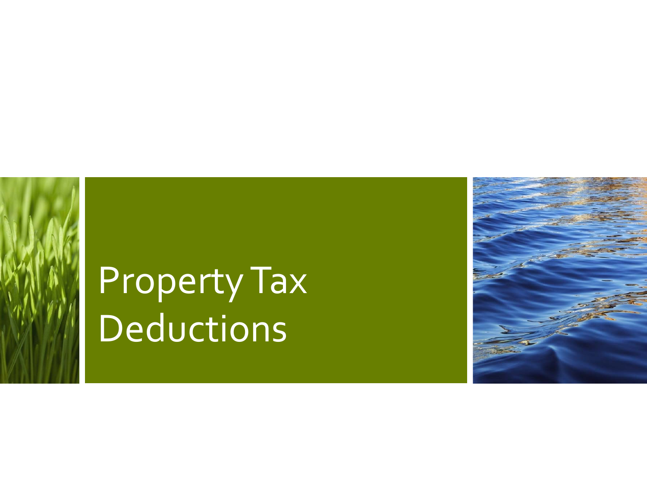# PropertyTax Deductions